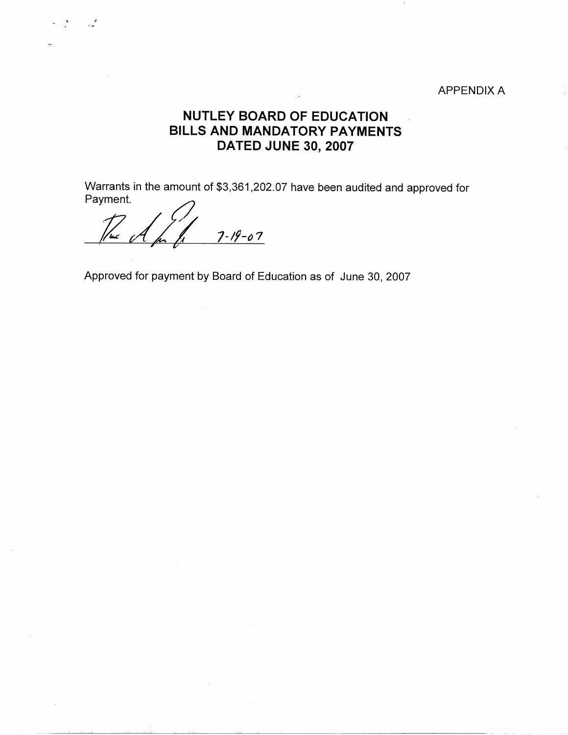## APPENDIX A

## **NUTLEY BOARD OF EDUCATION BILLS AND MANDATORY PAYMENTS DATED JUNE 30, 2007**

Warrants in the amount of \$3,361,202.07 have been audited and approved for<br>Payment.<br> $\frac{1}{\sqrt{2\pi}}\int_{\frac{1}{2}}\int_{\frac{1}{2}}\frac{7-19-07}{1}$ 

. ક્રમ કર્યા.<br>દૂધ કર્યો છે. '

Approved for payment by Board of Education as of June 30, 2007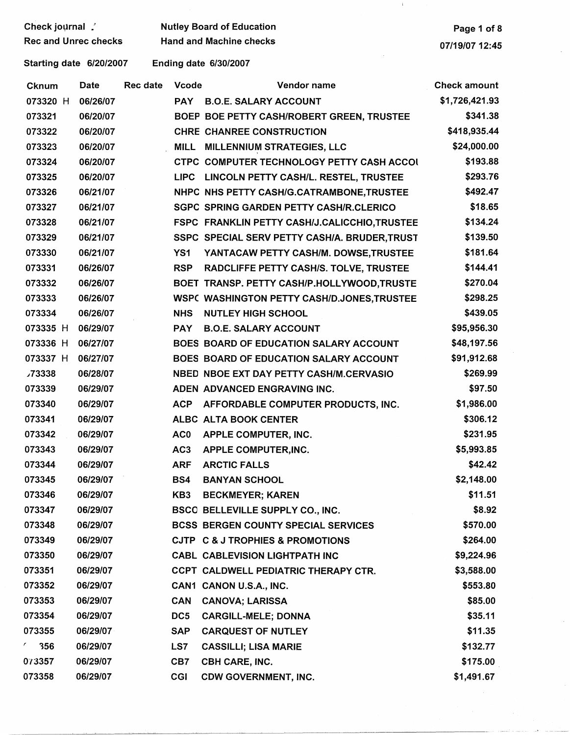| Check journal        |  |
|----------------------|--|
| Rec and Unrec checks |  |

## Nutley Board of Education

Hand and Machine checks

and the company of the company of the

 $\bar{z}$ 

 $\mathbf{1}$ 

Starting date 6/20/2007

Ending date 6/30/2007

| <b>Cknum</b>      | Date     | Rec date | <b>Vcode</b>    | Vendor name                                    | <b>Check amount</b> |
|-------------------|----------|----------|-----------------|------------------------------------------------|---------------------|
| 073320 H          | 06/26/07 |          | <b>PAY</b>      | <b>B.O.E. SALARY ACCOUNT</b>                   | \$1,726,421.93      |
| 073321            | 06/20/07 |          |                 | BOEP BOE PETTY CASH/ROBERT GREEN, TRUSTEE      | \$341.38            |
| 073322            | 06/20/07 |          |                 | CHRE CHANREE CONSTRUCTION                      | \$418,935.44        |
| 073323            | 06/20/07 |          | <b>MILL</b>     | MILLENNIUM STRATEGIES, LLC                     | \$24,000.00         |
| 073324            | 06/20/07 |          |                 | CTPC COMPUTER TECHNOLOGY PETTY CASH ACCOL      | \$193.88            |
| 073325            | 06/20/07 |          | <b>LIPC</b>     | LINCOLN PETTY CASH/L. RESTEL, TRUSTEE          | \$293.76            |
| 073326            | 06/21/07 |          |                 | NHPC NHS PETTY CASH/G.CATRAMBONE, TRUSTEE      | \$492.47            |
| 073327            | 06/21/07 |          |                 | <b>SGPC SPRING GARDEN PETTY CASH/R.CLERICO</b> | \$18.65             |
| 073328            | 06/21/07 |          |                 | FSPC FRANKLIN PETTY CASH/J.CALICCHIO, TRUSTEE  | \$134.24            |
| 073329            | 06/21/07 |          |                 | SSPC SPECIAL SERV PETTY CASH/A. BRUDER, TRUST  | \$139.50            |
| 073330            | 06/21/07 |          | YS1             | YANTACAW PETTY CASH/M. DOWSE, TRUSTEE          | \$181.64            |
| 073331            | 06/26/07 |          | <b>RSP</b>      | RADCLIFFE PETTY CASH/S. TOLVE, TRUSTEE         | \$144.41            |
| 073332            | 06/26/07 |          |                 | BOET TRANSP. PETTY CASH/P.HOLLYWOOD,TRUSTE     | \$270.04            |
| 073333            | 06/26/07 |          |                 | WSPC WASHINGTON PETTY CASH/D.JONES, TRUSTEE    | \$298.25            |
| 073334            | 06/26/07 |          | <b>NHS</b>      | <b>NUTLEY HIGH SCHOOL</b>                      | \$439.05            |
| 073335 H          | 06/29/07 |          | <b>PAY</b>      | <b>B.O.E. SALARY ACCOUNT</b>                   | \$95,956.30         |
| 073336 H          | 06/27/07 |          |                 | BOES BOARD OF EDUCATION SALARY ACCOUNT         | \$48,197.56         |
| 073337 H          | 06/27/07 |          |                 | BOES BOARD OF EDUCATION SALARY ACCOUNT         | \$91,912.68         |
| <b>73338</b>      | 06/28/07 |          |                 | NBED NBOE EXT DAY PETTY CASH/M.CERVASIO        | \$269.99            |
| 073339            | 06/29/07 |          |                 | ADEN ADVANCED ENGRAVING INC.                   | \$97.50             |
| 073340            | 06/29/07 |          | <b>ACP</b>      | AFFORDABLE COMPUTER PRODUCTS, INC.             | \$1,986.00          |
| 073341            | 06/29/07 |          |                 | ALBC ALTA BOOK CENTER                          | \$306.12            |
| 073342            | 06/29/07 |          | AC0             | APPLE COMPUTER, INC.                           | \$231.95            |
| 073343            | 06/29/07 |          | AC <sub>3</sub> | <b>APPLE COMPUTER, INC.</b>                    | \$5,993.85          |
| 073344            | 06/29/07 |          | <b>ARF</b>      | <b>ARCTIC FALLS</b>                            | \$42.42             |
| 073345            | 06/29/07 |          | BS4             | <b>BANYAN SCHOOL</b>                           | \$2,148.00          |
| 073346            | 06/29/07 |          | KB <sub>3</sub> | <b>BECKMEYER; KAREN</b>                        | \$11.51             |
| 073347            | 06/29/07 |          |                 | BSCO BELLEVILLE SUPPLY CO., INC.               | \$8.92              |
| 073348            | 06/29/07 |          |                 | BCSS BERGEN COUNTY SPECIAL SERVICES            | \$570.00            |
| 073349            | 06/29/07 |          |                 | CJTP C & J TROPHIES & PROMOTIONS               | \$264.00            |
| 073350            | 06/29/07 |          |                 | CABL CABLEVISION LIGHTPATH INC                 | \$9,224.96          |
| 073351            | 06/29/07 |          |                 | CCPT CALDWELL PEDIATRIC THERAPY CTR.           | \$3,588.00          |
| 073352            | 06/29/07 |          |                 | CAN1 CANON U.S.A., INC.                        | \$553.80            |
| 073353            | 06/29/07 |          | <b>CAN</b>      | <b>CANOVA; LARISSA</b>                         | \$85.00             |
| 073354            | 06/29/07 |          | DC5             | <b>CARGILL-MELE; DONNA</b>                     | \$35.11             |
| 073355            | 06/29/07 |          | <b>SAP</b>      | <b>CARQUEST OF NUTLEY</b>                      | \$11.35             |
| $\epsilon$<br>356 | 06/29/07 |          | LS7             | <b>CASSILLI; LISA MARIE</b>                    | \$132.77            |
| 073357            | 06/29/07 |          | CB7             | CBH CARE, INC.                                 | \$175.00            |
| 073358            | 06/29/07 |          | <b>CGI</b>      | <b>CDW GOVERNMENT, INC.</b>                    | \$1,491.67          |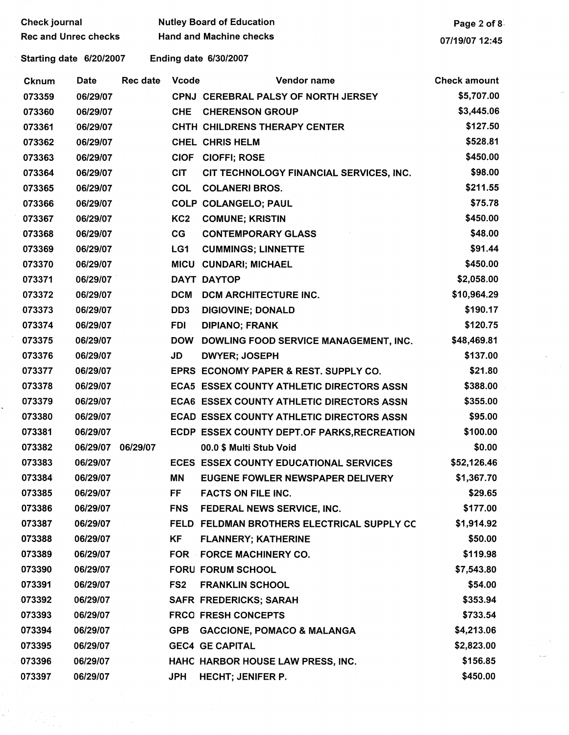|        |                             |                   |                 | <b>Hand and Machine checks</b>                   |                     |
|--------|-----------------------------|-------------------|-----------------|--------------------------------------------------|---------------------|
|        | <b>Rec and Unrec checks</b> |                   |                 | 07/19/07 12:45                                   |                     |
|        | Starting date 6/20/2007     |                   |                 | Ending date 6/30/2007                            |                     |
| Cknum  | Date                        | Rec date          | Vcode           | Vendor name                                      | <b>Check amount</b> |
| 073359 | 06/29/07                    |                   |                 | CPNJ CEREBRAL PALSY OF NORTH JERSEY              | \$5,707.00          |
| 073360 | 06/29/07                    |                   | <b>CHE</b>      | <b>CHERENSON GROUP</b>                           | \$3,445.06          |
| 073361 | 06/29/07                    |                   |                 | CHTH CHILDRENS THERAPY CENTER                    | \$127.50            |
| 073362 | 06/29/07                    |                   |                 | <b>CHEL CHRIS HELM</b>                           | \$528.81            |
| 073363 | 06/29/07                    |                   |                 | CIOF CIOFFI; ROSE                                | \$450.00            |
| 073364 | 06/29/07                    |                   | <b>CIT</b>      | CIT TECHNOLOGY FINANCIAL SERVICES, INC.          | \$98.00             |
| 073365 | 06/29/07                    |                   | <b>COL</b>      | <b>COLANERI BROS.</b>                            | \$211.55            |
| 073366 | 06/29/07                    |                   |                 | COLP COLANGELO; PAUL                             | \$75.78             |
| 073367 | 06/29/07                    |                   | KC <sub>2</sub> | <b>COMUNE; KRISTIN</b>                           | \$450.00            |
| 073368 | 06/29/07                    |                   | CG              | <b>CONTEMPORARY GLASS</b>                        | \$48.00             |
| 073369 | 06/29/07                    |                   | LG1             | <b>CUMMINGS; LINNETTE</b>                        | \$91.44             |
| 073370 | 06/29/07                    |                   |                 | MICU CUNDARI; MICHAEL                            | \$450.00            |
| 073371 | 06/29/07                    |                   |                 | DAYT DAYTOP                                      | \$2,058.00          |
| 073372 | 06/29/07                    |                   | <b>DCM</b>      | DCM ARCHITECTURE INC.                            | \$10,964.29         |
| 073373 | 06/29/07                    |                   | DD <sub>3</sub> | <b>DIGIOVINE; DONALD</b>                         | \$190.17            |
| 073374 | 06/29/07                    |                   | <b>FDI</b>      | <b>DIPIANO; FRANK</b>                            | \$120.75            |
| 073375 | 06/29/07                    |                   | <b>DOW</b>      | DOWLING FOOD SERVICE MANAGEMENT, INC.            | \$48,469.81         |
| 073376 | 06/29/07                    |                   | JD              | <b>DWYER; JOSEPH</b>                             | \$137.00            |
| 073377 | 06/29/07                    |                   |                 | EPRS ECONOMY PAPER & REST. SUPPLY CO.            | \$21.80             |
| 073378 | 06/29/07                    |                   |                 | <b>ECA5 ESSEX COUNTY ATHLETIC DIRECTORS ASSN</b> | \$388.00            |
| 073379 | 06/29/07                    |                   |                 | ECA6 ESSEX COUNTY ATHLETIC DIRECTORS ASSN        | \$355.00            |
| 073380 | 06/29/07                    |                   |                 | ECAD ESSEX COUNTY ATHLETIC DIRECTORS ASSN        | \$95.00             |
| 073381 | 06/29/07                    |                   |                 | ECDP ESSEX COUNTY DEPT.OF PARKS, RECREATION      | \$100.00            |
| 073382 |                             | 06/29/07 06/29/07 |                 | 00.0 \$ Multi Stub Void                          | \$0.00              |
| 073383 | 06/29/07                    |                   |                 | ECES ESSEX COUNTY EDUCATIONAL SERVICES           | \$52,126.46         |
| 073384 | 06/29/07                    |                   | ΜN              | EUGENE FOWLER NEWSPAPER DELIVERY                 | \$1,367.70          |
| 073385 | 06/29/07                    |                   | FF.             | <b>FACTS ON FILE INC.</b>                        | \$29.65             |
| 073386 | 06/29/07                    |                   | <b>FNS</b>      | FEDERAL NEWS SERVICE, INC.                       | \$177.00            |
| 073387 | 06/29/07                    |                   |                 | FELD FELDMAN BROTHERS ELECTRICAL SUPPLY CC       | \$1,914.92          |
| 073388 | 06/29/07                    |                   | KF              | <b>FLANNERY; KATHERINE</b>                       | \$50.00             |
| 073389 | 06/29/07                    |                   |                 | FOR FORCE MACHINERY CO.                          | \$119.98            |
| 073390 | 06/29/07                    |                   |                 | <b>FORU FORUM SCHOOL</b>                         | \$7,543.80          |
| 073391 | 06/29/07                    |                   | FS <sub>2</sub> | <b>FRANKLIN SCHOOL</b>                           | \$54.00             |
| 073392 | 06/29/07                    |                   |                 | <b>SAFR FREDERICKS; SARAH</b>                    | \$353.94            |
| 073393 | 06/29/07                    |                   |                 | <b>FRCO FRESH CONCEPTS</b>                       | \$733.54            |
| 073394 | 06/29/07                    |                   | <b>GPB</b>      | <b>GACCIONE, POMACO &amp; MALANGA</b>            | \$4,213.06          |
| 073395 | 06/29/07                    |                   |                 | <b>GEC4 GE CAPITAL</b>                           | \$2,823.00          |
| 073396 | 06/29/07                    |                   |                 | HAHC HARBOR HOUSE LAW PRESS, INC.                | \$156.85            |
| 073397 | 06/29/07                    |                   | JPH             | <b>HECHT; JENIFER P.</b>                         | \$450.00            |
|        |                             |                   |                 |                                                  |                     |

Ļ.

 $\frac{1}{2} \sum_{i=1}^{n} \frac{1}{2} \sum_{j=1}^{n} \frac{1}{2} \sum_{j=1}^{n} \frac{1}{2} \sum_{j=1}^{n} \frac{1}{2} \sum_{j=1}^{n} \frac{1}{2} \sum_{j=1}^{n} \frac{1}{2} \sum_{j=1}^{n} \frac{1}{2} \sum_{j=1}^{n} \frac{1}{2} \sum_{j=1}^{n} \frac{1}{2} \sum_{j=1}^{n} \frac{1}{2} \sum_{j=1}^{n} \frac{1}{2} \sum_{j=1}^{n} \frac{1}{2} \sum_{j=1}^{n$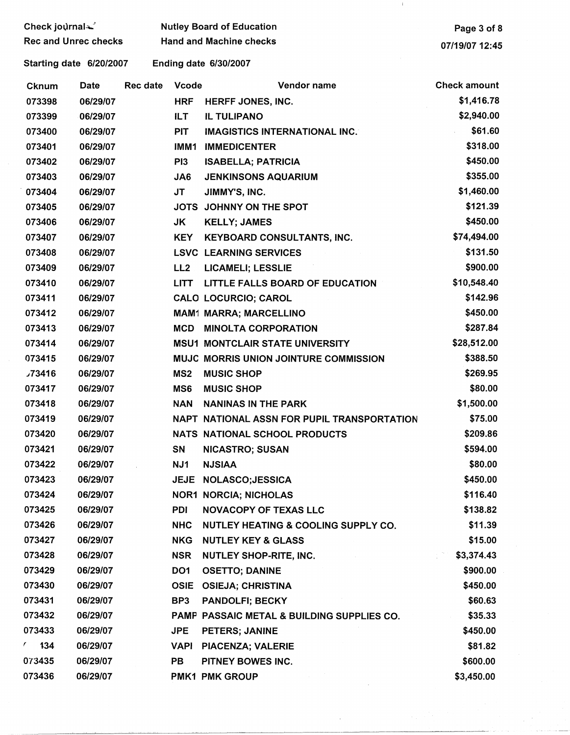| Check journal                                           |          |          | <b>Nutley Board of Education</b> | Page 3 of 8                                 |                     |  |
|---------------------------------------------------------|----------|----------|----------------------------------|---------------------------------------------|---------------------|--|
| <b>Rec and Unrec checks</b>                             |          |          | <b>Hand and Machine checks</b>   | 07/19/07 12:45                              |                     |  |
| <b>Ending date 6/30/2007</b><br>Starting date 6/20/2007 |          |          |                                  |                                             |                     |  |
| <b>Cknum</b>                                            | Date     | Rec date | Vcode                            | Vendor name                                 | <b>Check amount</b> |  |
| 073398                                                  | 06/29/07 |          | <b>HRF</b>                       | HERFF JONES, INC.                           | \$1,416.78          |  |
| 073399                                                  | 06/29/07 |          | ILT.                             | <b>IL TULIPANO</b>                          | \$2,940.00          |  |
| 073400                                                  | 06/29/07 |          | <b>PIT</b>                       | <b>IMAGISTICS INTERNATIONAL INC.</b>        | \$61.60             |  |
| 073401                                                  | 06/29/07 |          | IMM1                             | <b>IMMEDICENTER</b>                         | \$318.00            |  |
| 073402                                                  | 06/29/07 |          | PI <sub>3</sub>                  | <b>ISABELLA; PATRICIA</b>                   | \$450.00            |  |
| 073403                                                  | 06/29/07 |          | JA6                              | <b>JENKINSONS AQUARIUM</b>                  | \$355.00            |  |
| 073404                                                  | 06/29/07 |          | JT                               | JIMMY'S, INC.                               | \$1,460.00          |  |
| 073405                                                  | 06/29/07 |          |                                  | JOTS JOHNNY ON THE SPOT                     | \$121.39            |  |
| 073406                                                  | 06/29/07 |          | JK                               | <b>KELLY; JAMES</b>                         | \$450.00            |  |
| 073407                                                  | 06/29/07 |          | <b>KEY</b>                       | <b>KEYBOARD CONSULTANTS, INC.</b>           | \$74,494.00         |  |
| 073408                                                  | 06/29/07 |          |                                  | <b>LSVC LEARNING SERVICES</b>               | \$131.50            |  |
| 073409                                                  | 06/29/07 |          | LL <sub>2</sub>                  | <b>LICAMELI; LESSLIE</b>                    | \$900.00            |  |
| 073410                                                  | 06/29/07 |          | <b>LITT</b>                      | LITTLE FALLS BOARD OF EDUCATION             | \$10,548.40         |  |
| 073411                                                  | 06/29/07 |          |                                  | <b>CALO LOCURCIO; CAROL</b>                 | \$142.96            |  |
| 073412                                                  | 06/29/07 |          |                                  | <b>MAM1 MARRA; MARCELLINO</b>               | \$450.00            |  |
| 073413                                                  | 06/29/07 |          | <b>MCD</b>                       | <b>MINOLTA CORPORATION</b>                  | \$287.84            |  |
| 073414                                                  | 06/29/07 |          |                                  | <b>MSU1 MONTCLAIR STATE UNIVERSITY</b>      | \$28,512.00         |  |
| 073415                                                  | 06/29/07 |          |                                  | MUJC MORRIS UNION JOINTURE COMMISSION       | \$388.50            |  |
| 73416                                                   | 06/29/07 |          | MS <sub>2</sub>                  | <b>MUSIC SHOP</b>                           | \$269.95            |  |
| 073417                                                  | 06/29/07 |          | MS6                              | <b>MUSIC SHOP</b>                           | \$80.00             |  |
| 073418                                                  | 06/29/07 |          | <b>NAN</b>                       | <b>NANINAS IN THE PARK</b>                  | \$1,500.00          |  |
| 073419                                                  | 06/29/07 |          |                                  | NAPT NATIONAL ASSN FOR PUPIL TRANSPORTATION | \$75.00             |  |
| 073420                                                  | 06/29/07 |          |                                  | NATS NATIONAL SCHOOL PRODUCTS               | \$209.86            |  |
| 073421                                                  | 06/29/07 |          | SN                               | <b>NICASTRO; SUSAN</b>                      | \$594.00            |  |
| 073422                                                  | 06/29/07 |          | NJ1                              | <b>NJSIAA</b>                               | \$80.00             |  |
| 073423                                                  | 06/29/07 |          |                                  | JEJE NOLASCO; JESSICA                       | \$450.00            |  |
| 073424                                                  | 06/29/07 |          |                                  | <b>NOR1 NORCIA; NICHOLAS</b>                | \$116.40            |  |
| 073425                                                  | 06/29/07 |          | PDI                              | <b>NOVACOPY OF TEXAS LLC</b>                | \$138.82            |  |
| 073426                                                  | 06/29/07 |          | <b>NHC</b>                       | NUTLEY HEATING & COOLING SUPPLY CO.         | \$11.39             |  |
| 073427                                                  | 06/29/07 |          | <b>NKG</b>                       | <b>NUTLEY KEY &amp; GLASS</b>               | \$15.00             |  |
| 073428                                                  | 06/29/07 |          | <b>NSR</b>                       | <b>NUTLEY SHOP-RITE, INC.</b>               | \$3,374.43          |  |
| 073429                                                  | 06/29/07 |          | DO <sub>1</sub>                  | <b>OSETTO; DANINE</b>                       | \$900.00            |  |
| 073430                                                  | 06/29/07 |          | <b>OSIE</b>                      | <b>OSIEJA; CHRISTINA</b>                    | \$450.00            |  |
| 073431                                                  | 06/29/07 |          | BP3                              | <b>PANDOLFI; BECKY</b>                      | \$60.63             |  |
| 073432                                                  | 06/29/07 |          |                                  | PAMP PASSAIC METAL & BUILDING SUPPLIES CO.  | \$35.33             |  |
| 073433                                                  | 06/29/07 |          | <b>JPE</b>                       | PETERS; JANINE                              | \$450.00            |  |
| $\frac{1}{34}$                                          | 06/29/07 |          | <b>VAPI</b>                      | PIACENZA; VALERIE                           | \$81.82             |  |
| 073435                                                  | 06/29/07 |          | PB                               | PITNEY BOWES INC.                           | \$600.00            |  |
| 073436                                                  | 06/29/07 |          |                                  | <b>PMK1 PMK GROUP</b>                       | \$3,450.00          |  |

- 10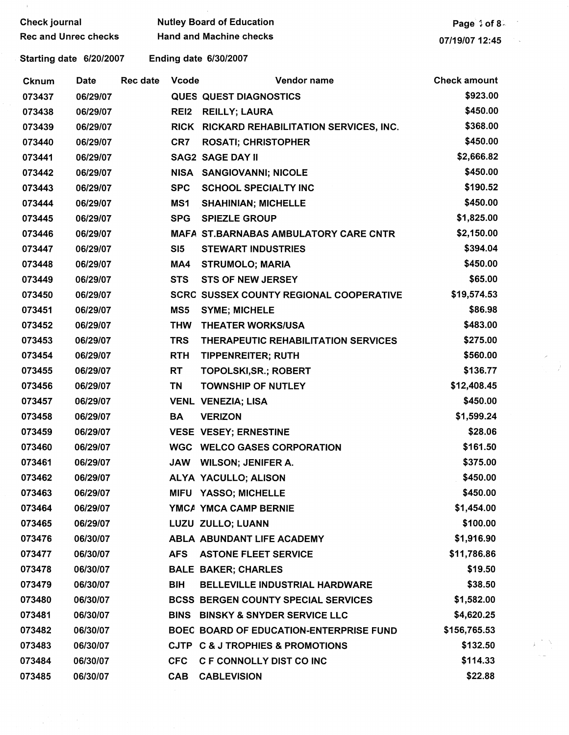| <b>Check journal</b>        |          |                 |                                | <b>Nutley Board of Education</b>               | Page 1 of 8         |
|-----------------------------|----------|-----------------|--------------------------------|------------------------------------------------|---------------------|
| <b>Rec and Unrec checks</b> |          |                 | <b>Hand and Machine checks</b> | 07/19/07 12:45                                 |                     |
| Starting date 6/20/2007     |          |                 |                                | Ending date 6/30/2007                          |                     |
| <b>Cknum</b>                | Date     | <b>Rec date</b> | <b>Vcode</b>                   | Vendor name                                    | <b>Check amount</b> |
| 073437                      | 06/29/07 |                 |                                | <b>QUES QUEST DIAGNOSTICS</b>                  | \$923.00            |
| 073438                      | 06/29/07 |                 | REI <sub>2</sub>               | <b>REILLY; LAURA</b>                           | \$450.00            |
| 073439                      | 06/29/07 |                 |                                | RICK RICKARD REHABILITATION SERVICES, INC.     | \$368.00            |
| 073440                      | 06/29/07 |                 | CR7                            | <b>ROSATI; CHRISTOPHER</b>                     | \$450.00            |
| 073441                      | 06/29/07 |                 |                                | <b>SAG2 SAGE DAY II</b>                        | \$2,666.82          |
| 073442                      | 06/29/07 |                 | NISA                           | <b>SANGIOVANNI; NICOLE</b>                     | \$450.00            |
| 073443                      | 06/29/07 |                 | <b>SPC</b>                     | <b>SCHOOL SPECIALTY INC</b>                    | \$190.52            |
| 073444                      | 06/29/07 |                 | MS1                            | <b>SHAHINIAN; MICHELLE</b>                     | \$450.00            |
| 073445                      | 06/29/07 |                 | <b>SPG</b>                     | <b>SPIEZLE GROUP</b>                           | \$1,825.00          |
| 073446                      | 06/29/07 |                 |                                | <b>MAFA ST.BARNABAS AMBULATORY CARE CNTR</b>   | \$2,150.00          |
| 073447                      | 06/29/07 |                 | SI <sub>5</sub>                | <b>STEWART INDUSTRIES</b>                      | \$394.04            |
| 073448                      | 06/29/07 |                 | MA4                            | <b>STRUMOLO; MARIA</b>                         | \$450.00            |
| 073449                      | 06/29/07 |                 | <b>STS</b>                     | <b>STS OF NEW JERSEY</b>                       | \$65.00             |
| 073450                      | 06/29/07 |                 |                                | <b>SCRC SUSSEX COUNTY REGIONAL COOPERATIVE</b> | \$19,574.53         |
| 073451                      | 06/29/07 |                 | MS5                            | <b>SYME; MICHELE</b>                           | \$86.98             |
| 073452                      | 06/29/07 |                 | <b>THW</b>                     | <b>THEATER WORKS/USA</b>                       | \$483.00            |
| 073453                      | 06/29/07 |                 | <b>TRS</b>                     | THERAPEUTIC REHABILITATION SERVICES            | \$275.00            |
| 073454                      | 06/29/07 |                 | <b>RTH</b>                     | <b>TIPPENREITER; RUTH</b>                      | \$560.00            |
| 073455                      | 06/29/07 |                 | RT                             | <b>TOPOLSKI, SR.; ROBERT</b>                   | \$136.77            |
| 073456                      | 06/29/07 |                 | TN                             | <b>TOWNSHIP OF NUTLEY</b>                      | \$12,408.45         |
| 073457                      | 06/29/07 |                 |                                | <b>VENL VENEZIA; LISA</b>                      | \$450.00            |
| 073458                      | 06/29/07 |                 | <b>BA</b>                      | <b>VERIZON</b>                                 | \$1,599.24          |
| 073459                      | 06/29/07 |                 |                                | VESE VESEY; ERNESTINE                          | \$28.06             |
| 073460                      | 06/29/07 |                 |                                | <b>WGC WELCO GASES CORPORATION</b>             | \$161.50            |
| 073461                      | 06/29/07 |                 | <b>JAW</b>                     | <b>WILSON; JENIFER A.</b>                      | \$375.00            |
| 073462                      | 06/29/07 |                 |                                | ALYA YACULLO; ALISON                           | \$450.00            |
| 073463                      | 06/29/07 |                 |                                | MIFU YASSO; MICHELLE                           | \$450.00            |
| 073464                      | 06/29/07 |                 |                                | YMCA YMCA CAMP BERNIE                          | \$1,454.00          |
| 073465                      | 06/29/07 |                 |                                | LUZU ZULLO; LUANN                              | \$100.00            |
| 073476                      | 06/30/07 |                 |                                | ABLA ABUNDANT LIFE ACADEMY                     | \$1,916.90          |
| 073477                      | 06/30/07 |                 | <b>AFS</b>                     | <b>ASTONE FLEET SERVICE</b>                    | \$11,786.86         |
| 073478                      | 06/30/07 |                 |                                | <b>BALE BAKER; CHARLES</b>                     | \$19.50             |
| 073479                      | 06/30/07 |                 | <b>BIH</b>                     | <b>BELLEVILLE INDUSTRIAL HARDWARE</b>          | \$38.50             |
| 073480                      | 06/30/07 |                 |                                | <b>BCSS BERGEN COUNTY SPECIAL SERVICES</b>     | \$1,582.00          |
| 073481                      | 06/30/07 |                 | <b>BINS</b>                    | <b>BINSKY &amp; SNYDER SERVICE LLC</b>         | \$4,620.25          |
| 073482                      | 06/30/07 |                 |                                | <b>BOEC BOARD OF EDUCATION-ENTERPRISE FUND</b> | \$156,765.53        |
| 073483                      | 06/30/07 |                 |                                | CJTP C & J TROPHIES & PROMOTIONS               | \$132.50            |
| 073484                      | 06/30/07 |                 | <b>CFC</b>                     | C F CONNOLLY DIST CO INC                       | \$114.33            |
| 073485                      | 06/30/07 |                 | CAB                            | <b>CABLEVISION</b>                             | \$22.88             |

 $\mu^{(1)}$   $\Delta_{\mu}$ 

 $\alpha=0.1$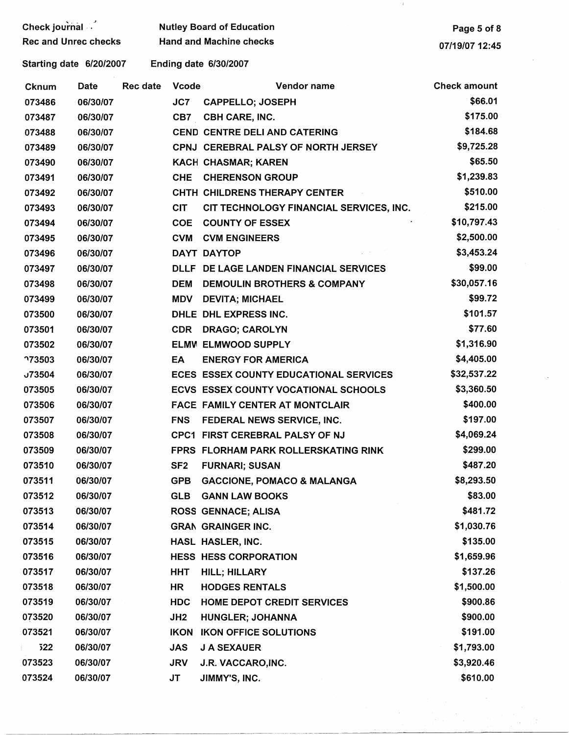| Check journal               |          |          | <b>Nutley Board of Education</b> | Page 5 of 8                             |                     |
|-----------------------------|----------|----------|----------------------------------|-----------------------------------------|---------------------|
| <b>Rec and Unrec checks</b> |          |          |                                  | <b>Hand and Machine checks</b>          | 07/19/07 12:45      |
| Starting date 6/20/2007     |          |          |                                  | Ending date 6/30/2007                   |                     |
| Cknum                       | Date     | Rec date | <b>Vcode</b>                     | Vendor name                             | <b>Check amount</b> |
| 073486                      | 06/30/07 |          | JC7                              | <b>CAPPELLO; JOSEPH</b>                 | \$66.01             |
| 073487                      | 06/30/07 |          |                                  | CB7 CBH CARE, INC.                      | \$175.00            |
| 073488                      | 06/30/07 |          |                                  | <b>CEND CENTRE DELI AND CATERING</b>    | \$184.68            |
| 073489                      | 06/30/07 |          |                                  | CPNJ CEREBRAL PALSY OF NORTH JERSEY     | \$9,725.28          |
| 073490                      | 06/30/07 |          |                                  | KACH CHASMAR; KAREN                     | \$65.50             |
| 073491                      | 06/30/07 |          | <b>CHE</b>                       | <b>CHERENSON GROUP</b>                  | \$1,239.83          |
| 073492                      | 06/30/07 |          |                                  | CHTH CHILDRENS THERAPY CENTER           | \$510.00            |
| 073493                      | 06/30/07 |          | <b>CIT</b>                       | CIT TECHNOLOGY FINANCIAL SERVICES, INC. | \$215.00            |
| 073494                      | 06/30/07 |          | <b>COE</b>                       | <b>COUNTY OF ESSEX</b>                  | \$10,797.43         |
| 073495                      | 06/30/07 |          | <b>CVM</b>                       | <b>CVM ENGINEERS</b>                    | \$2,500.00          |
| 073496                      | 06/30/07 |          |                                  | DAYT DAYTOP                             | \$3,453.24          |
| 073497                      | 06/30/07 |          |                                  | DLLF DE LAGE LANDEN FINANCIAL SERVICES  | \$99.00             |
| 073498                      | 06/30/07 |          | <b>DEM</b>                       | <b>DEMOULIN BROTHERS &amp; COMPANY</b>  | \$30,057.16         |
| 073499                      | 06/30/07 |          | <b>MDV</b>                       | <b>DEVITA; MICHAEL</b>                  | \$99.72             |
| 073500                      | 06/30/07 |          |                                  | DHLE DHL EXPRESS INC.                   | \$101.57            |
| 073501                      | 06/30/07 |          | <b>CDR</b>                       | <b>DRAGO; CAROLYN</b>                   | \$77.60             |
| 073502                      | 06/30/07 |          |                                  | ELMV ELMWOOD SUPPLY                     | \$1,316.90          |
| <b>773503</b>               | 06/30/07 |          | EA                               | <b>ENERGY FOR AMERICA</b>               | \$4,405.00          |
| 73504                       | 06/30/07 |          |                                  | ECES ESSEX COUNTY EDUCATIONAL SERVICES  | \$32,537.22         |
| 073505                      | 06/30/07 |          |                                  | ECVS ESSEX COUNTY VOCATIONAL SCHOOLS    | \$3,360.50          |
| 073506                      | 06/30/07 |          |                                  | <b>FACE FAMILY CENTER AT MONTCLAIR</b>  | \$400.00            |
| 073507                      | 06/30/07 |          | <b>FNS</b>                       | FEDERAL NEWS SERVICE, INC.              | \$197.00            |
| 073508                      | 06/30/07 |          |                                  | CPC1 FIRST CEREBRAL PALSY OF NJ         | \$4,069.24          |
| 073509                      | 06/30/07 |          |                                  | FPRS FLORHAM PARK ROLLERSKATING RINK    | \$299.00            |
| 073510                      | 06/30/07 |          | SF <sub>2</sub>                  | <b>FURNARI; SUSAN</b>                   | \$487.20            |
| 073511                      | 06/30/07 |          | <b>GPB</b>                       | <b>GACCIONE, POMACO &amp; MALANGA</b>   | \$8,293.50          |
| 073512                      | 06/30/07 |          | <b>GLB</b>                       | <b>GANN LAW BOOKS</b>                   | \$83.00             |
| 073513                      | 06/30/07 |          |                                  | <b>ROSS GENNACE; ALISA</b>              | \$481.72            |
| 073514                      | 06/30/07 |          |                                  | <b>GRAN GRAINGER INC.</b>               | \$1,030.76          |
| 073515                      | 06/30/07 |          |                                  | HASL HASLER, INC.                       | \$135.00            |
| 073516                      | 06/30/07 |          |                                  | <b>HESS HESS CORPORATION</b>            | \$1,659.96          |
| 073517                      | 06/30/07 |          | <b>HHT</b>                       | <b>HILL; HILLARY</b>                    | \$137.26            |
| 073518                      | 06/30/07 |          | HR                               | <b>HODGES RENTALS</b>                   | \$1,500.00          |
| 073519                      | 06/30/07 |          | <b>HDC</b>                       | <b>HOME DEPOT CREDIT SERVICES</b>       | \$900.86            |
| 073520                      | 06/30/07 |          | JH <sub>2</sub>                  | <b>HUNGLER; JOHANNA</b>                 | \$900.00            |
| 073521                      | 06/30/07 |          |                                  | <b>IKON IKON OFFICE SOLUTIONS</b>       | \$191.00            |
| 522<br>Ë.                   | 06/30/07 |          | <b>JAS</b>                       | <b>J A SEXAUER</b>                      | \$1,793.00          |
| 073523                      | 06/30/07 |          | <b>JRV</b>                       | J.R. VACCARO, INC.                      | \$3,920.46          |
| 073524                      | 06/30/07 |          | JT                               | JIMMY'S, INC.                           | \$610.00            |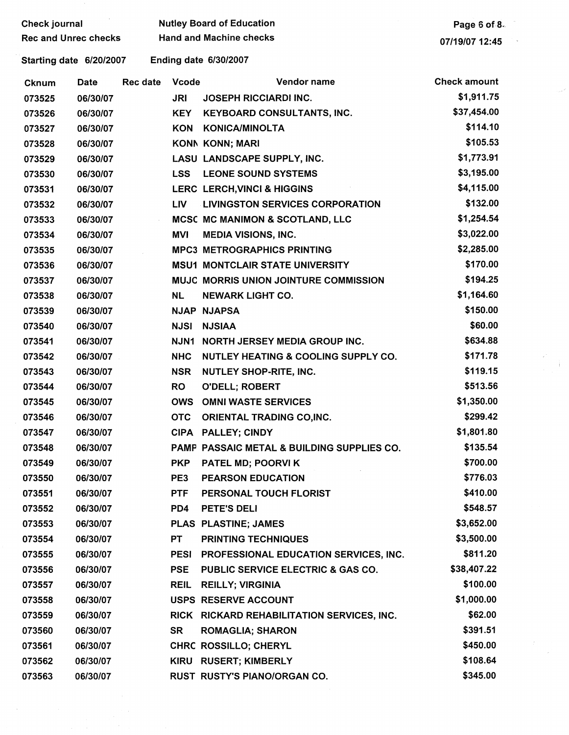| Check journal                                           |          |          |              | <b>Nutley Board of Education</b>             | Page 6 of 8.        |  |  |
|---------------------------------------------------------|----------|----------|--------------|----------------------------------------------|---------------------|--|--|
| <b>Rec and Unrec checks</b>                             |          |          |              | <b>Hand and Machine checks</b>               | 07/19/07 12:45      |  |  |
| <b>Ending date 6/30/2007</b><br>Starting date 6/20/2007 |          |          |              |                                              |                     |  |  |
| Cknum                                                   | Date     | Rec date | <b>Vcode</b> | Vendor name                                  | <b>Check amount</b> |  |  |
| 073525                                                  | 06/30/07 |          | <b>JRI</b>   | JOSEPH RICCIARDI INC.                        | \$1,911.75          |  |  |
| 073526                                                  | 06/30/07 |          | <b>KEY</b>   | <b>KEYBOARD CONSULTANTS, INC.</b>            | \$37,454.00         |  |  |
| 073527                                                  | 06/30/07 |          | <b>KON</b>   | <b>KONICA/MINOLTA</b>                        | \$114.10            |  |  |
| 073528                                                  | 06/30/07 |          |              | KONN KONN; MARI                              | \$105.53            |  |  |
| 073529                                                  | 06/30/07 |          |              | LASU LANDSCAPE SUPPLY, INC.                  | \$1,773.91          |  |  |
| 073530                                                  | 06/30/07 |          | <b>LSS</b>   | <b>LEONE SOUND SYSTEMS</b>                   | \$3,195.00          |  |  |
| 073531                                                  | 06/30/07 |          |              | LERC LERCH, VINCI & HIGGINS                  | \$4,115.00          |  |  |
| 073532                                                  | 06/30/07 |          | <b>LIV</b>   | <b>LIVINGSTON SERVICES CORPORATION</b>       | \$132.00            |  |  |
| 073533                                                  | 06/30/07 |          |              | MCSC MC MANIMON & SCOTLAND, LLC              | \$1,254.54          |  |  |
| 073534                                                  | 06/30/07 |          | MVI          | <b>MEDIA VISIONS, INC.</b>                   | \$3,022.00          |  |  |
| 073535                                                  | 06/30/07 |          |              | <b>MPC3 METROGRAPHICS PRINTING</b>           | \$2,285.00          |  |  |
| 073536                                                  | 06/30/07 |          |              | <b>MSU1 MONTCLAIR STATE UNIVERSITY</b>       | \$170.00            |  |  |
| 073537                                                  | 06/30/07 |          |              | <b>MUJC MORRIS UNION JOINTURE COMMISSION</b> | \$194.25            |  |  |
| 073538                                                  | 06/30/07 |          | NL.          | <b>NEWARK LIGHT CO.</b>                      | \$1,164.60          |  |  |
| 073539                                                  | 06/30/07 |          |              | <b>NJAP NJAPSA</b>                           | \$150.00            |  |  |
| 073540                                                  | 06/30/07 |          | <b>NJSI</b>  | <b>NJSIAA</b>                                | \$60.00             |  |  |
| 073541                                                  | 06/30/07 |          | <b>NJN1</b>  | NORTH JERSEY MEDIA GROUP INC.                | \$634.88            |  |  |
| 073542                                                  | 06/30/07 |          | <b>NHC</b>   | NUTLEY HEATING & COOLING SUPPLY CO.          | \$171.78            |  |  |
| 073543                                                  | 06/30/07 |          | <b>NSR</b>   | <b>NUTLEY SHOP-RITE, INC.</b>                | \$119.15            |  |  |
| 073544                                                  | 06/30/07 |          | <b>RO</b>    | <b>O'DELL; ROBERT</b>                        | \$513.56            |  |  |
| 073545                                                  | 06/30/07 |          | <b>OWS</b>   | <b>OMNI WASTE SERVICES</b>                   | \$1,350.00          |  |  |
| 073546                                                  | 06/30/07 |          | <b>OTC</b>   | ORIENTAL TRADING CO, INC.                    | \$299.42            |  |  |
| 073547                                                  | 06/30/07 |          |              | CIPA PALLEY; CINDY                           | \$1,801.80          |  |  |
| 073548                                                  | 06/30/07 |          |              | PAMP PASSAIC METAL & BUILDING SUPPLIES CO.   | \$135.54            |  |  |
| 073549                                                  | 06/30/07 |          | <b>PKP</b>   | PATEL MD; POORVI K                           | \$700.00            |  |  |
| 073550                                                  | 06/30/07 |          | PE3          | <b>PEARSON EDUCATION</b>                     | \$776.03            |  |  |
| 073551                                                  | 06/30/07 |          | <b>PTF</b>   | PERSONAL TOUCH FLORIST                       | \$410.00            |  |  |
| 073552                                                  | 06/30/07 |          | PD4          | <b>PETE'S DELI</b>                           | \$548.57            |  |  |
| 073553                                                  | 06/30/07 |          |              | PLAS PLASTINE; JAMES                         | \$3,652.00          |  |  |
| 073554                                                  | 06/30/07 |          | <b>PT</b>    | <b>PRINTING TECHNIQUES</b>                   | \$3,500.00          |  |  |
| 073555                                                  | 06/30/07 |          | PESI         | PROFESSIONAL EDUCATION SERVICES, INC.        | \$811.20            |  |  |
| 073556                                                  | 06/30/07 |          | <b>PSE</b>   | PUBLIC SERVICE ELECTRIC & GAS CO.            | \$38,407.22         |  |  |
| 073557                                                  | 06/30/07 |          | <b>REIL</b>  | <b>REILLY; VIRGINIA</b>                      | \$100.00            |  |  |
| 073558                                                  | 06/30/07 |          |              | USPS RESERVE ACCOUNT                         | \$1,000.00          |  |  |
| 073559                                                  | 06/30/07 |          |              | RICK RICKARD REHABILITATION SERVICES, INC.   | \$62.00             |  |  |
| 073560                                                  | 06/30/07 |          | <b>SR</b>    | <b>ROMAGLIA; SHARON</b>                      | \$391.51            |  |  |
| 073561                                                  | 06/30/07 |          |              | <b>CHRC ROSSILLO; CHERYL</b>                 | \$450.00            |  |  |
| 073562                                                  | 06/30/07 |          |              | KIRU RUSERT; KIMBERLY                        | \$108.64            |  |  |
| 073563                                                  | 06/30/07 |          |              | RUST RUSTY'S PIANO/ORGAN CO.                 | \$345.00            |  |  |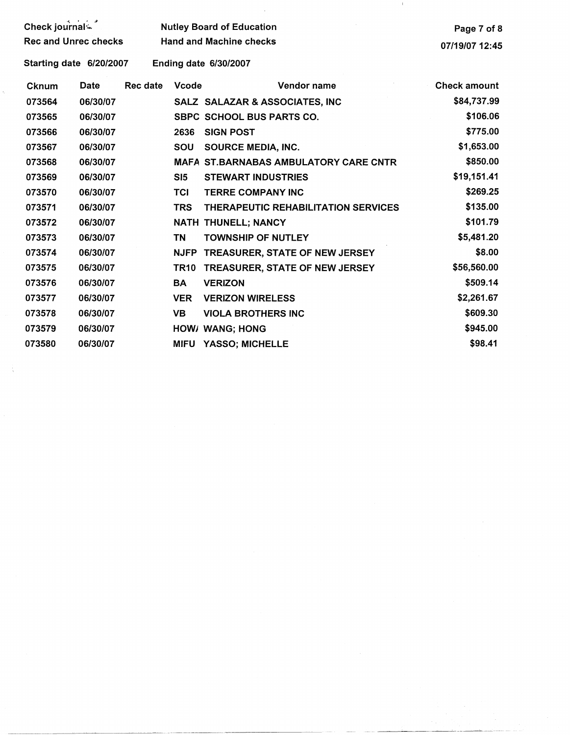|                             |          |          |                 | $\mathbb{I}$                                 |                     |
|-----------------------------|----------|----------|-----------------|----------------------------------------------|---------------------|
| Check journal-              |          |          |                 | <b>Nutley Board of Education</b>             | Page 7 of 8         |
| <b>Rec and Unrec checks</b> |          |          |                 | <b>Hand and Machine checks</b>               | 07/19/07 12:45      |
| Starting date 6/20/2007     |          |          |                 | Ending date 6/30/2007                        |                     |
| Cknum                       | Date     | Rec date | <b>Vcode</b>    | Vendor name                                  | <b>Check amount</b> |
| 073564                      | 06/30/07 |          |                 | SALZ SALAZAR & ASSOCIATES, INC               | \$84,737.99         |
| 073565                      | 06/30/07 |          |                 | <b>SBPC SCHOOL BUS PARTS CO.</b>             | \$106.06            |
| 073566                      | 06/30/07 |          | 2636            | <b>SIGN POST</b>                             | \$775.00            |
| 073567                      | 06/30/07 |          | SOU             | <b>SOURCE MEDIA, INC.</b>                    | \$1,653.00          |
| 073568                      | 06/30/07 |          |                 | <b>MAFA ST.BARNABAS AMBULATORY CARE CNTR</b> | \$850.00            |
| 073569                      | 06/30/07 |          | SI <sub>5</sub> | <b>STEWART INDUSTRIES</b>                    | \$19,151.41         |
| 073570                      | 06/30/07 |          | <b>TCI</b>      | <b>TERRE COMPANY INC</b>                     | \$269.25            |
| 073571                      | 06/30/07 |          | <b>TRS</b>      | <b>THERAPEUTIC REHABILITATION SERVICES</b>   | \$135.00            |
| 073572                      | 06/30/07 |          |                 | NATH THUNELL; NANCY                          | \$101.79            |
| 073573                      | 06/30/07 |          | <b>TN</b>       | <b>TOWNSHIP OF NUTLEY</b>                    | \$5,481.20          |
| 073574                      | 06/30/07 |          | <b>NJFP</b>     | TREASURER, STATE OF NEW JERSEY               | \$8.00              |
| 073575                      | 06/30/07 |          | <b>TR10</b>     | TREASURER, STATE OF NEW JERSEY               | \$56,560.00         |
| 073576                      | 06/30/07 |          | <b>BA</b>       | <b>VERIZON</b>                               | \$509.14            |
| 073577                      | 06/30/07 |          | <b>VER</b>      | <b>VERIZON WIRELESS</b>                      | \$2,261.67          |
| 073578                      | 06/30/07 |          | <b>VB</b>       | <b>VIOLA BROTHERS INC</b>                    | \$609.30            |
| 073579                      | 06/30/07 |          |                 | HOW/ WANG; HONG                              | \$945.00            |
| 073580                      | 06/30/07 |          | MIFU            | <b>YASSO; MICHELLE</b>                       | \$98.41             |
|                             |          |          |                 |                                              |                     |

 $\sim$   $\sigma_{\rm{g}}$